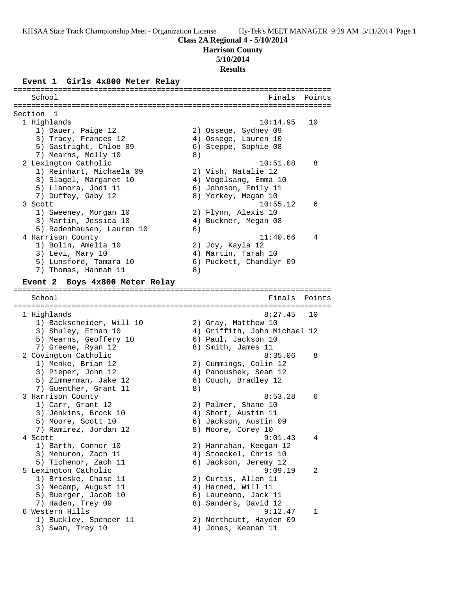**Harrison County**

**5/10/2014**

# **Results**

#### **Event 1 Girls 4x800 Meter Relay**

======================================================================= School **Finals** Points ======================================================================= Section 1 1 Highlands 10:14.95 10 1) Dauer, Paige 12 2) Ossege, Sydney 09 3) Tracy, Frances 12 (4) Ossege, Lauren 10 5) Gastright, Chloe 09 6) Steppe, Sophie 08 7) Mearns, Molly 10 8) 2 Lexington Catholic 10:51.08 8 1) Reinhart, Michaela 09 2) Vish, Natalie 12 3) Slagel, Margaret 10 4) Vogelsang, Emma 10 5) Llanora, Jodi 11 (6) Johnson, Emily 11 7) Duffey, Gaby 12 8) Yorkey, Megan 10 3 Scott 10:55.12 6 1) Sweeney, Morgan 10 2) Flynn, Alexis 10 3) Martin, Jessica 10  $\hskip1cm \hskip1cm 4$ ) Buckner, Megan 08 5) Radenhausen, Lauren 10 6) 4 Harrison County 11:40.66 4 1) Bolin, Amelia 10 2) Joy, Kayla 12 3) Levi, Mary 10 4) Martin, Tarah 10 5) Lunsford, Tamara 10 6) Puckett, Chandlyr 09 7) Thomas, Hannah 11 (8) **Event 2 Boys 4x800 Meter Relay** ======================================================================= School Finals Points ======================================================================= 1 Highlands 8:27.45 10 1) Backscheider, Will 10 2) Gray, Matthew 10 3) Shuley, Ethan 10 4) Griffith, John Michael 12 5) Mearns, Geoffery 10 6) Paul, Jackson 10 7) Greene, Ryan 12 8) Smith, James 11 2 Covington Catholic 8:35.06 8 1) Menke, Brian 12 2) Cummings, Colin 12 3) Pieper, John 12 4) Panoushek, Sean 12 5) Zimmerman, Jake 12 (6) Couch, Bradley 12 7) Guenther, Grant 11 (8) 3 Harrison County 8:53.28 6 1) Carr, Grant 12 2) Palmer, Shane 10 3) Jenkins, Brock 10 4) Short, Austin 11 5) Moore, Scott 10 6) Jackson, Austin 09 7) Ramirez, Jordan 12 and 8) Moore, Corey 10 4 Scott 9:01.43 4 1) Barth, Connor 10 2) Hanrahan, Keegan 12 3) Mehuron, Zach 11 4) Stoeckel, Chris 10 5) Tichenor, Zach 11 6) Jackson, Jeremy 12 5 Lexington Catholic 9:09.19 2 1) Brieske, Chase 11 2) Curtis, Allen 11 3) Necamp, August 11 (4) Harned, Will 11 5) Buerger, Jacob 10 (6) Laureano, Jack 11 7) Haden, Trey 09 8) Sanders, David 12 6 Western Hills 9:12.47 1 1) Buckley, Spencer 11 2) Northcutt, Hayden 09 3) Swan, Trey 10  $\hskip1cm \hskip1cm 4$ ) Jones, Keenan 11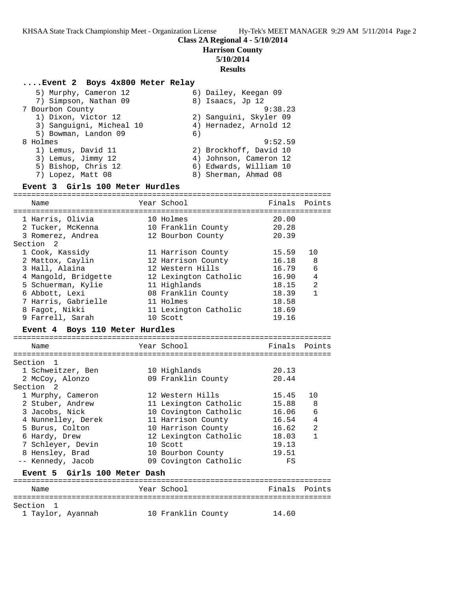**Harrison County**

# **5/10/2014**

**Results**

## **....Event 2 Boys 4x800 Meter Relay** 5) Murphy, Cameron 12 6) Dailey, Keegan 09 7) Simpson, Nathan 09 8) Isaacs, Jp 12 7 Bourbon County 9:38.23 1) Dixon, Victor 12 2) Sanguini, Skyler 09 3) Sanguigni, Micheal 10 4) Hernadez, Arnold 12 5) Bowman, Landon 09 6) 8 Holmes 9:52.59 1) Lemus, David 11 2) Brockhoff, David 10 3) Lemus, Jimmy 12 4) Johnson, Cameron 12

- 5) Bishop, Chris 12 6) Edwards, William 10
- 7) Lopez, Matt 08 8 8) Sherman, Ahmad 08

## **Event 3 Girls 100 Meter Hurdles**

| Name                                     | Year School           | Finals | Points         |
|------------------------------------------|-----------------------|--------|----------------|
|                                          |                       |        |                |
| 1 Harris, Olivia                         | 10 Holmes             | 20.00  |                |
| 2 Tucker, McKenna                        | 10 Franklin County    | 20.28  |                |
| 3 Romerez, Andrea                        | 12 Bourbon County     | 20.39  |                |
| Section<br>- 2                           |                       |        |                |
| 1 Cook, Kassidy                          | 11 Harrison County    | 15.59  | 10             |
| 2 Mattox, Caylin                         | 12 Harrison County    | 16.18  | 8              |
| 3 Hall, Alaina                           | 12 Western Hills      | 16.79  | $\epsilon$     |
| 4 Mangold, Bridgette                     | 12 Lexington Catholic | 16.90  | $\overline{4}$ |
| 5 Schuerman, Kylie                       | 11 Highlands          | 18.15  | $\overline{2}$ |
| 6 Abbott, Lexi                           | 08 Franklin County    | 18.39  | $\mathbf{1}$   |
| 7 Harris, Gabrielle                      | 11 Holmes             | 18.58  |                |
| 8 Fagot, Nikki                           | 11 Lexington Catholic | 18.69  |                |
| 9 Farrell, Sarah                         | 10 Scott              | 19.16  |                |
| Boys 110 Meter Hurdles<br><b>Event 4</b> |                       |        |                |
|                                          |                       |        |                |
| Name                                     | Year School           | Finals | Points         |
|                                          |                       |        |                |
| Section<br>1                             |                       | 20.13  |                |
| 1 Schweitzer, Ben                        | 10 Highlands          |        |                |
| 2 McCoy, Alonzo                          | 09 Franklin County    | 20.44  |                |
| Section <sub>2</sub>                     |                       |        | 10             |
| 1 Murphy, Cameron                        | 12 Western Hills      | 15.45  |                |
| 2 Stuber, Andrew                         | 11 Lexington Catholic | 15.88  | 8              |
| 3 Jacobs, Nick                           | 10 Covington Catholic | 16.06  | 6              |
| 4 Nunnelley, Derek                       | 11 Harrison County    | 16.54  | 4              |
| 5 Burus, Colton                          | 10 Harrison County    | 16.62  | $\overline{2}$ |
| 6 Hardy, Drew                            | 12 Lexington Catholic | 18.03  | $\mathbf{1}$   |
| 7 Schleyer, Devin                        | 10 Scott              | 19.13  |                |
| 8 Hensley, Brad                          | 10 Bourbon County     | 19.51  |                |
| -- Kennedy, Jacob                        | 09 Covington Catholic | FS     |                |
| Girls 100 Meter Dash<br>Event 5          |                       |        |                |
| Name                                     | Year School           | Finals | Points         |
|                                          |                       |        |                |
|                                          |                       |        |                |

1 Taylor, Ayannah 10 Franklin County 14.60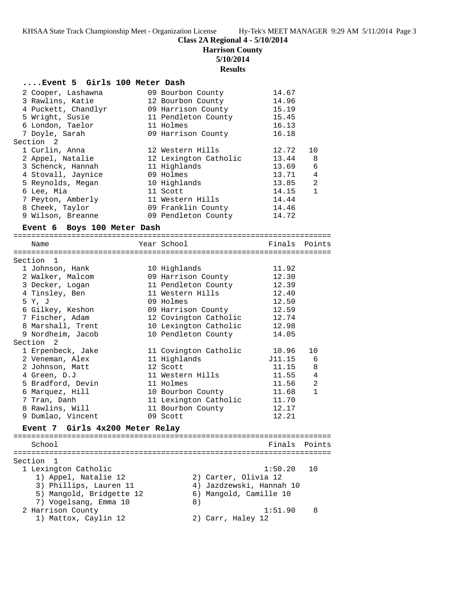## **Class 2A Regional 4 - 5/10/2014**

**Harrison County**

#### **5/10/2014**

**Results**

#### **....Event 5 Girls 100 Meter Dash**

| 2 Cooper, Lashawna          | 09 Bourbon County     | 14.67         |                |
|-----------------------------|-----------------------|---------------|----------------|
| 3 Rawlins, Katie            | 12 Bourbon County     | 14.96         |                |
| 4 Puckett, Chandlyr         | 09 Harrison County    | 15.19         |                |
| 5 Wright, Susie             | 11 Pendleton County   | 15.45         |                |
| 6 London, Taelor            | 11 Holmes             | 16.13         |                |
| 7 Doyle, Sarah              | 09 Harrison County    | 16.18         |                |
| Section 2                   |                       |               |                |
| 1 Curlin, Anna              | 12 Western Hills      | 12.72         | 10             |
| 2 Appel, Natalie            | 12 Lexington Catholic | 13.44         | 8              |
| 3 Schenck, Hannah           | 11 Highlands          | 13.69         | 6              |
| 4 Stovall, Jaynice          | 09 Holmes             | 13.71         | $\overline{4}$ |
| 5 Reynolds, Megan           | 10 Highlands          | 13.85         | $\overline{a}$ |
| 6 Lee, Mia                  | 11 Scott              | 14.15         | $\mathbf{1}$   |
| 7 Peyton, Amberly           | 11 Western Hills      | 14.44         |                |
| 8 Cheek, Taylor             | 09 Franklin County    | 14.46         |                |
| 9 Wilson, Breanne           | 09 Pendleton County   | 14.72         |                |
|                             |                       |               |                |
| Event 6 Boys 100 Meter Dash |                       |               |                |
| Name                        | Year School           | Finals Points |                |
| Section 1                   |                       |               |                |
| 1 Johnson, Hank             | 10 Highlands          | 11.92         |                |
| 2 Walker, Malcom            | 09 Harrison County    | 12.30         |                |
| 3 Decker, Logan             | 11 Pendleton County   | 12.39         |                |
| 4 Tinsley, Ben              | 11 Western Hills      | 12.40         |                |
| 5 Y, J                      | 09 Holmes             | 12.50         |                |
| 6 Gilkey, Keshon            | 09 Harrison County    | 12.59         |                |
| 7 Fischer, Adam             | 12 Covington Catholic | 12.74         |                |
| 8 Marshall, Trent           | 10 Lexington Catholic | 12.98         |                |
| 9 Nordheim, Jacob           | 10 Pendleton County   | 14.05         |                |
| Section 2                   |                       |               |                |
| 1 Erpenbeck, Jake           | 11 Covington Catholic | 10.96         | 10             |

 2 Johnson, Matt 12 Scott 11.15 8 4 Green, D.J 11 Western Hills 11.55 4 5 Bradford, Devin 11 Holmes 11.56 2 6 Marquez, Hill 10 Bourbon County 11.68 1 7 Tran, Danh 11 Lexington Catholic 11.70 8 Rawlins, Will 11 Bourbon County 12.17 9 Dumlao, Vincent 09 Scott 12.21

#### **Event 7 Girls 4x200 Meter Relay**

======================================================================= School **Finals Points** ======================================================================= Section 1 1 Lexington Catholic 1:50.20 10 1) Appel, Natalie 12 2) Carter, Olivia 12 3) Phillips, Lauren 11 4) Jazdzewski, Hannah 10 5) Mangold, Bridgette 12 6) Mangold, Camille 10 7) Vogelsang, Emma 10 8) 2 Harrison County 1:51.90 8 1) Mattox, Caylin 12 2) Carr, Haley 12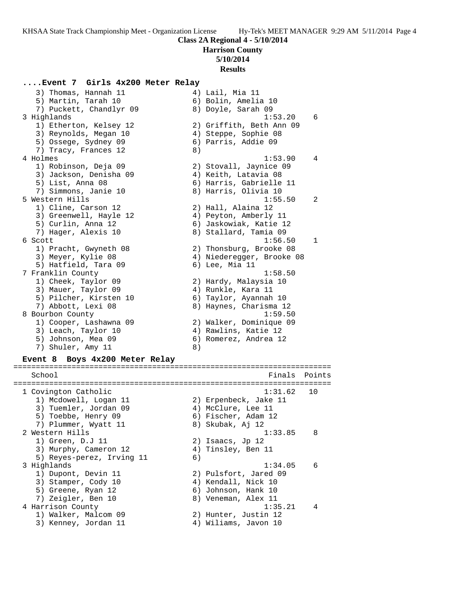**Harrison County**

## **5/10/2014**

**Results**

## **....Event 7 Girls 4x200 Meter Relay**

3) Thomas, Hannah 11  $\qquad \qquad$  4) Lail, Mia 11 5) Martin, Tarah 10  $\qquad \qquad$  6) Bolin, Amelia 10 7) Puckett, Chandlyr 09 8) Doyle, Sarah 09 3 Highlands 1:53.20 6 1) Etherton, Kelsey 12 2) Griffith, Beth Ann 09 3) Reynolds, Megan 10 (4) Steppe, Sophie 08 5) Ossege, Sydney 09 6) Parris, Addie 09 7) Tracy, Frances 12 (8) 4 Holmes 1:53.90 4 1) Robinson, Deja 09 2) Stovall, Jaynice 09 3) Jackson, Denisha 09 4) Keith, Latavia 08 5) List, Anna 08 6) Harris, Gabrielle 11 7) Simmons, Janie 10 8) Harris, Olivia 10 5 Western Hills 1:55.50 2 1) Cline, Carson 12 2) Hall, Alaina 12 3) Greenwell, Hayle 12 4) Peyton, Amberly 11 5) Curlin, Anna 12 6) Jaskowiak, Katie 12 7) Hager, Alexis 10 8) Stallard, Tamia 09 6 Scott 1:56.50 1 1) Pracht, Gwyneth 08 2) Thonsburg, Brooke 08 3) Meyer, Kylie 08 4) Niederegger, Brooke 08 5) Hatfield, Tara 09 (6) Lee, Mia 11 7 Franklin County 1:58.50 1) Cheek, Taylor 09 2) Hardy, Malaysia 10 3) Mauer, Taylor 09 (4) Runkle, Kara 11 5) Pilcher, Kirsten 10 6) Taylor, Ayannah 10 7) Abbott, Lexi 08 8) Haynes, Charisma 12 8 Bourbon County 1:59.50 1) Cooper, Lashawna 09 2) Walker, Dominique 09 3) Leach, Taylor 10 (4) Rawlins, Katie 12 5) Johnson, Mea 09 6) Romerez, Andrea 12 7) Shuler, Amy 11 8) **Event 8 Boys 4x200 Meter Relay** ======================================================================= School **Finals** Points ======================================================================= 1 Covington Catholic 1:31.62 10 1) Mcdowell, Logan 11 2) Erpenbeck, Jake 11 3) Tuemler, Jordan 09 (4) McClure, Lee 11 5) Toebbe, Henry 09 (6) Fischer, Adam 12 7) Plummer, Wyatt 11 and 8) Skubak, Aj 12 2 Western Hills 2 2 Western And the Second Muslim Control of the Muslim Control of the Muslim Control of the Mu 1) Green, D.J 11 2) Isaacs, Jp 12 3) Murphy, Cameron 12 (4) Tinsley, Ben 11 5) Reyes-perez, Irving 11 6) 3 Highlands 1:34.05 6 1) Dupont, Devin 11 2) Pulsfort, Jared 09 3) Stamper, Cody 10 (4) Kendall, Nick 10 5) Greene, Ryan 12 (6) Johnson, Hank 10 7) Zeigler, Ben 10 8) Veneman, Alex 11 4 Harrison County 1:35.21 4 1) Walker, Malcom 09 2) Hunter, Justin 12 3) Kenney, Jordan 11 4) Wiliams, Javon 10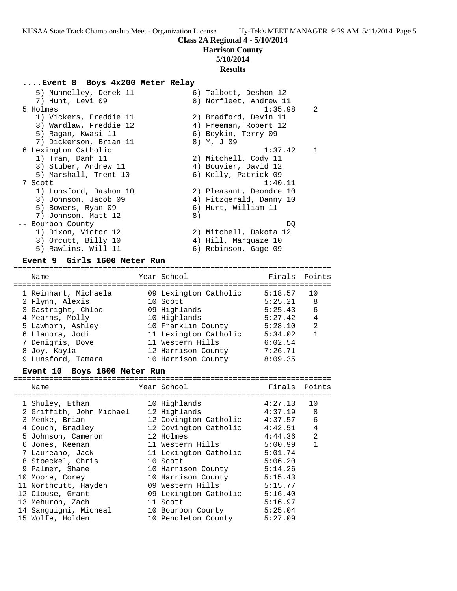#### **Harrison County**

## **5/10/2014**

#### **Results**

#### **....Event 8 Boys 4x200 Meter Relay**

 5) Nunnelley, Derek 11 6) Talbott, Deshon 12 7) Hunt, Levi 09 8) Norfleet, Andrew 11 5 Holmes 1:35.98 2 1) Vickers, Freddie 11 2) Bradford, Devin 11 3) Wardlaw, Freddie 12 4) Freeman, Robert 12 5) Ragan, Kwasi 11 6) Boykin, Terry 09 7) Dickerson, Brian 11 (8) 8) Y, J 09 6 Lexington Catholic 1:37.42 1 1) Tran, Danh 11 2) Mitchell, Cody 11 3) Stuber, Andrew 11 4) Bouvier, David 12 5) Marshall, Trent 10  $\,$  6) Kelly, Patrick 09 7 Scott 1:40.11 1) Lunsford, Dashon 10 2) Pleasant, Deondre 10 3) Johnson, Jacob 09 4) Fitzgerald, Danny 10 5) Bowers, Ryan 09 6) Hurt, William 11 7) Johnson, Matt 12 (8) -- Bourbon County DQ 1) Dixon, Victor 12 2) Mitchell, Dakota 12 3) Orcutt, Billy 10  $\hskip1cm$  4) Hill, Marquaze 10 5) Rawlins, Will 11 6) Robinson, Gage 09

## **Event 9 Girls 1600 Meter Run**

======================================================================= Name The Year School The Finals Points ======================================================================= 1 Reinhart, Michaela 09 Lexington Catholic 5:18.57 10 2 Flynn, Alexis 10 Scott 5:25.21 8 3 Gastright, Chloe 09 Highlands 5:25.43 6 4 Mearns, Molly 10 Highlands 5:27.42 4 5 Lawhorn, Ashley 10 Franklin County 5:28.10 2 6 Llanora, Jodi 11 Lexington Catholic 5:34.02 1 7 Denigris, Dove 11 Western Hills 6:02.54 8 Joy, Kayla 12 Harrison County 7:26.71 9 Lunsford, Tamara 10 Harrison County 8:09.35

#### **Event 10 Boys 1600 Meter Run**

| Name                     | Year School           | Finals Points |              |
|--------------------------|-----------------------|---------------|--------------|
|                          |                       |               |              |
| 1 Shuley, Ethan          | 10 Highlands          | 4:27.13       | 10           |
| 2 Griffith, John Michael | 12 Highlands          | 4:37.19       | 8            |
| 3 Menke, Brian           | 12 Covington Catholic | 4:37.57       | 6            |
| 4 Couch, Bradley         | 12 Covington Catholic | 4:42.51       | 4            |
| 5 Johnson, Cameron       | 12 Holmes             | 4:44.36       | 2            |
| 6 Jones, Keenan          | 11 Western Hills      | 5:00.99       | $\mathbf{1}$ |
| 7 Laureano, Jack         | 11 Lexington Catholic | 5:01.74       |              |
| 8 Stoeckel, Chris        | 10 Scott              | 5:06.20       |              |
| 9 Palmer, Shane          | 10 Harrison County    | 5:14.26       |              |
| 10 Moore, Corey          | 10 Harrison County    | 5:15.43       |              |
| 11 Northcutt, Hayden     | 09 Western Hills      | 5:15.77       |              |
| 12 Clouse, Grant         | 09 Lexington Catholic | 5:16.40       |              |
| 13 Mehuron, Zach         | 11 Scott              | 5:16.97       |              |
| 14 Sanguigni, Micheal    | 10 Bourbon County     | 5:25.04       |              |
| 15 Wolfe, Holden         | 10 Pendleton County   | 5:27.09       |              |
|                          |                       |               |              |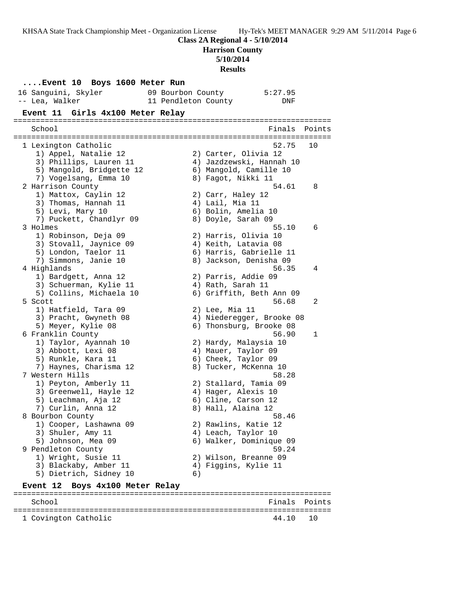**Harrison County**

**5/10/2014**

**Results**

|  | Event 10 Boys 1600 Meter Run            |                     |                     |                                                      |              |
|--|-----------------------------------------|---------------------|---------------------|------------------------------------------------------|--------------|
|  | 16 Sanguini, Skyler                     | 09 Bourbon County   |                     | 5:27.95                                              |              |
|  | -- Lea, Walker                          | 11 Pendleton County |                     | DNF                                                  |              |
|  | Event 11 Girls 4x100 Meter Relay        |                     |                     |                                                      |              |
|  |                                         |                     |                     |                                                      |              |
|  | School                                  |                     |                     | Finals                                               | Points       |
|  |                                         |                     |                     |                                                      |              |
|  | 1 Lexington Catholic                    |                     |                     | 52.75                                                | 10           |
|  | 1) Appel, Natalie 12                    |                     |                     | 2) Carter, Olivia 12                                 |              |
|  | 3) Phillips, Lauren 11                  |                     |                     | 4) Jazdzewski, Hannah 10                             |              |
|  | 5) Mangold, Bridgette 12                |                     |                     | 6) Mangold, Camille 10                               |              |
|  | 7) Vogelsang, Emma 10                   |                     | 8) Fagot, Nikki 11  |                                                      |              |
|  | 2 Harrison County                       |                     |                     | 54.61                                                | 8            |
|  | 1) Mattox, Caylin 12                    |                     | 2) Carr, Haley 12   |                                                      |              |
|  | 3) Thomas, Hannah 11                    |                     | 4) Lail, Mia 11     |                                                      |              |
|  | 5) Levi, Mary 10                        |                     | 6) Bolin, Amelia 10 |                                                      |              |
|  | 7) Puckett, Chandlyr 09                 |                     | 8) Doyle, Sarah 09  |                                                      |              |
|  | 3 Holmes                                |                     |                     | 55.10                                                | 6            |
|  | 1) Robinson, Deja 09                    |                     |                     | 2) Harris, Olivia 10                                 |              |
|  | 3) Stovall, Jaynice 09                  |                     |                     | 4) Keith, Latavia 08                                 |              |
|  | 5) London, Taelor 11                    |                     |                     | 6) Harris, Gabrielle 11                              |              |
|  | 7) Simmons, Janie 10                    |                     |                     | 8) Jackson, Denisha 09                               |              |
|  | 4 Highlands                             |                     |                     | 56.35                                                | 4            |
|  | 1) Bardgett, Anna 12                    |                     | 2) Parris, Addie 09 |                                                      |              |
|  | 3) Schuerman, Kylie 11                  |                     | 4) Rath, Sarah 11   |                                                      |              |
|  | 5) Collins, Michaela 10                 |                     |                     | 6) Griffith, Beth Ann 09                             |              |
|  | 5 Scott                                 |                     |                     | 56.68                                                | 2            |
|  | 1) Hatfield, Tara 09                    |                     | 2) Lee, Mia 11      |                                                      |              |
|  | 3) Pracht, Gwyneth 08                   |                     |                     | 4) Niederegger, Brooke 08<br>6) Thonsburg, Brooke 08 |              |
|  | 5) Meyer, Kylie 08<br>6 Franklin County |                     |                     | 56.90                                                | $\mathbf{1}$ |
|  | 1) Taylor, Ayannah 10                   |                     |                     | 2) Hardy, Malaysia 10                                |              |
|  | 3) Abbott, Lexi 08                      |                     | 4) Mauer, Taylor 09 |                                                      |              |
|  | 5) Runkle, Kara 11                      |                     | 6) Cheek, Taylor 09 |                                                      |              |
|  | 7) Haynes, Charisma 12                  |                     |                     | 8) Tucker, McKenna 10                                |              |
|  | 7 Western Hills                         |                     |                     | 58.28                                                |              |
|  | 1) Peyton, Amberly 11                   |                     |                     | 2) Stallard, Tamia 09                                |              |
|  | 3) Greenwell, Hayle 12                  |                     | 4) Hager, Alexis 10 |                                                      |              |
|  | 5) Leachman, Aja 12                     |                     |                     | 6) Cline, Carson 12                                  |              |
|  | 7) Curlin, Anna 12                      |                     | 8) Hall, Alaina 12  |                                                      |              |
|  | 8 Bourbon County                        |                     |                     | 58.46                                                |              |
|  | 1) Cooper, Lashawna 09                  |                     |                     | 2) Rawlins, Katie 12                                 |              |
|  | 3) Shuler, Amy 11                       |                     | 4) Leach, Taylor 10 |                                                      |              |
|  | 5) Johnson, Mea 09                      |                     |                     | 6) Walker, Dominique 09                              |              |
|  | 9 Pendleton County                      |                     |                     | 59.24                                                |              |
|  | 1) Wright, Susie 11                     |                     |                     | 2) Wilson, Breanne 09                                |              |
|  | 3) Blackaby, Amber 11                   |                     |                     | 4) Figgins, Kylie 11                                 |              |
|  | 5) Dietrich, Sidney 10                  | 6)                  |                     |                                                      |              |
|  | Event 12<br>Boys 4x100 Meter Relay      |                     |                     |                                                      |              |
|  |                                         |                     |                     |                                                      |              |

======================================================================= Finals Points ======================================================================= 1 Covington Catholic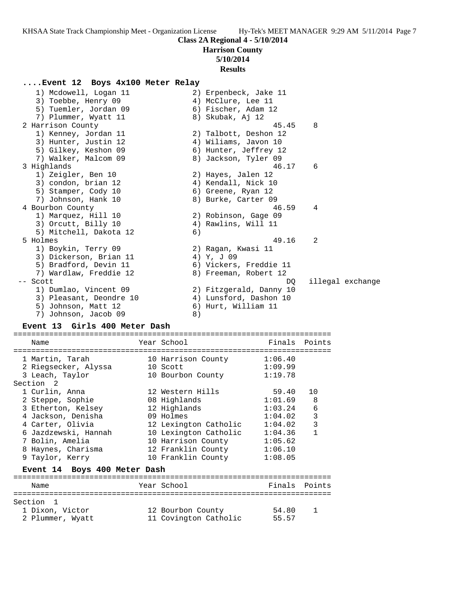**Harrison County**

### **5/10/2014**

### **Results**

### **....Event 12 Boys 4x100 Meter Relay**

 1) Mcdowell, Logan 11 2) Erpenbeck, Jake 11 3) Toebbe, Henry 09  $\hskip1cm 4$ ) McClure, Lee 11 5) Tuemler, Jordan 09 (6) Fischer, Adam 12 7) Plummer, Wyatt 11 and 8) Skubak, Aj 12 2 Harrison County 45.45 8 1) Kenney, Jordan 11 2) Talbott, Deshon 12 3) Hunter, Justin 12 4) Wiliams, Javon 10 5) Gilkey, Keshon 09 6) Hunter, Jeffrey 12 7) Walker, Malcom 09 8) Jackson, Tyler 09 3 Highlands 46.17 6 1) Zeigler, Ben 10 2) Hayes, Jalen 12 3) condon, brian 12 (4) Kendall, Nick 10 5) Stamper, Cody 10 (6) Greene, Ryan 12 7) Johnson, Hank 10 8) Burke, Carter 09 4 Bourbon County 46.59 4 1) Marquez, Hill 10 2) Robinson, Gage 09 3) Orcutt, Billy 10 (4) Rawlins, Will 11 5) Mitchell, Dakota 12 (6) 5 Holmes 49.16 2 1) Boykin, Terry 09 2) Ragan, Kwasi 11 3) Dickerson, Brian 11 (4) Y, J 09 5) Bradford, Devin 11 6) Vickers, Freddie 11 7) Wardlaw, Freddie 12 8) Freeman, Robert 12 -- Scott DQ illegal exchange 1) Dumlao, Vincent 09 2) Fitzgerald, Danny 10 3) Pleasant, Deondre 10 4) Lunsford, Dashon 10 5) Johnson, Matt 12 (6) Hurt, William 11 7) Johnson, Jacob 09 8)

## **Event 13 Girls 400 Meter Dash**

======================================================================= Name Tear School Tear School Finals Points ======================================================================= 1 Martin, Tarah 10 Harrison County 1:06.40 2 Riegsecker, Alyssa 10 Scott 1:09.99 3 Leach, Taylor 10 Bourbon County 1:19.78 Section 2 1 Curlin, Anna 12 Western Hills 59.40 10 2 Steppe, Sophie 08 Highlands 1:01.69 8 3 Etherton, Kelsey 12 Highlands 1:03.24 6 4 Jackson, Denisha 09 Holmes 1:04.02 3 4 Carter, Olivia 12 Lexington Catholic 1:04.02 3 6 Jazdzewski, Hannah 10 Lexington Catholic 1:04.36 1 7 Bolin, Amelia 10 Harrison County 1:05.62 8 Haynes, Charisma 12 Franklin County 1:06.10 9 Taylor, Kerry 10 Franklin County 1:08.05 **Event 14 Boys 400 Meter Dash** ======================================================================= Name The Year School The Finals Points ======================================================================= Section 1 1 Dixon, Victor 12 Bourbon County 54.80 1

2 Plummer, Wyatt 11 Covington Catholic 55.57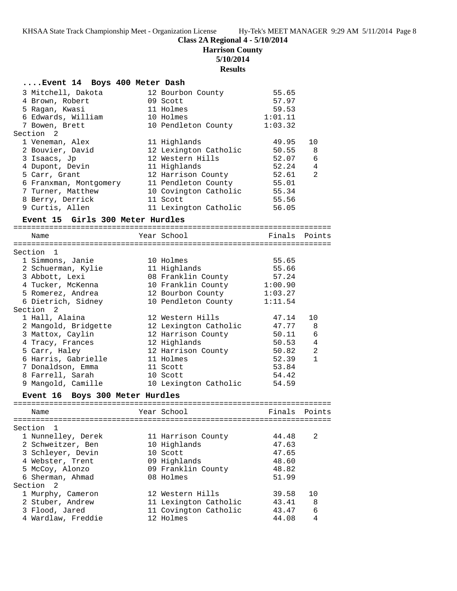# **Class 2A Regional 4 - 5/10/2014**

**Harrison County**

**5/10/2014**

# **Results**

| Event 14 Boys 400 Meter Dash |  |  |  |  |  |
|------------------------------|--|--|--|--|--|
|------------------------------|--|--|--|--|--|

| 3 Mitchell, Dakota<br>4 Brown, Robert<br>5 Ragan, Kwasi<br>6 Edwards, William<br>7 Bowen, Brett<br>Section <sub>2</sub>                                                               | 12 Bourbon County<br>09 Scott<br>11 Holmes<br>10 Holmes<br>10 Pendleton County                                                                                      | 55.65<br>57.97<br>59.53<br>1:01.11<br>1:03.32                                 |                                                     |
|---------------------------------------------------------------------------------------------------------------------------------------------------------------------------------------|---------------------------------------------------------------------------------------------------------------------------------------------------------------------|-------------------------------------------------------------------------------|-----------------------------------------------------|
| 1 Veneman, Alex<br>2 Bouvier, David<br>3 Isaacs, Jp<br>4 Dupont, Devin<br>5 Carr, Grant<br>6 Franxman, Montgomery<br>7 Turner, Matthew<br>8 Berry, Derrick                            | 11 Highlands<br>12 Lexington Catholic<br>12 Western Hills<br>11 Highlands<br>12 Harrison County<br>11 Pendleton County<br>10 Covington Catholic<br>11 Scott         | 49.95<br>50.55<br>52.07<br>52.24<br>52.61<br>55.01<br>55.34<br>55.56          | 10<br>8<br>$\epsilon$<br>4<br>2                     |
| 9 Curtis, Allen<br>Event 15 Girls 300 Meter Hurdles                                                                                                                                   | 11 Lexington Catholic                                                                                                                                               | 56.05                                                                         |                                                     |
| Name                                                                                                                                                                                  | Year School                                                                                                                                                         |                                                                               | Finals Points                                       |
| Section 1                                                                                                                                                                             |                                                                                                                                                                     |                                                                               |                                                     |
| 1 Simmons, Janie<br>2 Schuerman, Kylie<br>3 Abbott, Lexi<br>4 Tucker, McKenna<br>5 Romerez, Andrea<br>6 Dietrich, Sidney                                                              | 10 Holmes<br>11 Highlands<br>08 Franklin County 57.24<br>10 Franklin County<br>12 Bourbon County<br>10 Pendleton County                                             | 55.65<br>55.66<br>1:00.90<br>1:03.27<br>1:11.54                               |                                                     |
| Section 2                                                                                                                                                                             |                                                                                                                                                                     |                                                                               |                                                     |
| 1 Hall, Alaina<br>2 Mangold, Bridgette<br>3 Mattox, Caylin<br>4 Tracy, Frances<br>5 Carr, Haley<br>6 Harris, Gabrielle<br>7 Donaldson, Emma<br>8 Farrell, Sarah<br>9 Mangold, Camille | 12 Western Hills<br>12 Lexington Catholic<br>12 Harrison County<br>12 Highlands<br>12 Harrison County<br>11 Holmes<br>11 Scott<br>10 Scott<br>10 Lexington Catholic | 47.14<br>47.77<br>50.11<br>50.53<br>50.82<br>52.39<br>53.84<br>54.42<br>54.59 | 10<br>8<br>6<br>$\overline{4}$<br>2<br>$\mathbf{1}$ |
| Event 16 Boys 300 Meter Hurdles                                                                                                                                                       |                                                                                                                                                                     |                                                                               |                                                     |
| Name                                                                                                                                                                                  | Year School                                                                                                                                                         |                                                                               | Finals Points                                       |
| Section<br>1<br>1 Nunnelley, Derek<br>2 Schweitzer, Ben<br>3 Schleyer, Devin<br>4 Webster, Trent<br>5 McCoy, Alonzo<br>6 Sherman, Ahmad<br>Section<br>$\overline{2}$                  | 11 Harrison County<br>10 Highlands<br>10 Scott<br>09 Highlands<br>09 Franklin County<br>08 Holmes                                                                   | 44.48<br>47.63<br>47.65<br>48.60<br>48.82<br>51.99                            | 2                                                   |
| 1 Murphy, Cameron<br>2 Stuber, Andrew<br>3 Flood, Jared<br>4 Wardlaw, Freddie                                                                                                         | 12 Western Hills<br>11 Lexington Catholic<br>11 Covington Catholic<br>12 Holmes                                                                                     | 39.58<br>43.41<br>43.47<br>44.08                                              | 10<br>8<br>6<br>4                                   |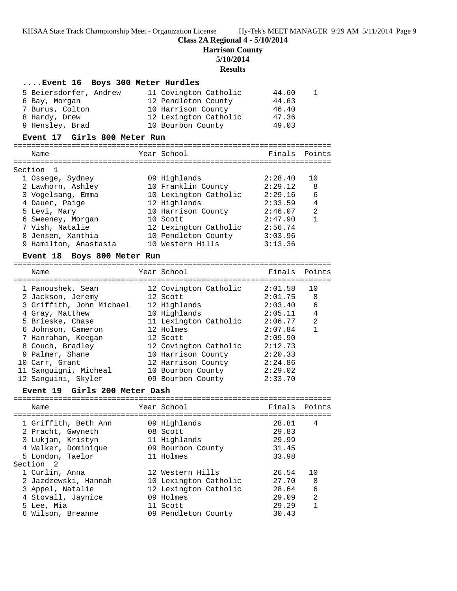**Class 2A Regional 4 - 5/10/2014**

**Harrison County**

**5/10/2014**

**Results**

#### **....Event 16 Boys 300 Meter Hurdles**

| 5 Beiersdorfer, Andrew | 11 Covington Catholic | 44.60 |
|------------------------|-----------------------|-------|
| 6 Bay, Morgan          | 12 Pendleton County   | 44.63 |
| 7 Burus, Colton        | 10 Harrison County    | 46.40 |
| 8 Hardy, Drew          | 12 Lexington Catholic | 47.36 |
| 9 Hensley, Brad        | 10 Bourbon County     | 49.03 |
|                        |                       |       |

## **Event 17 Girls 800 Meter Run**

======================================================================= Name Year School Finals Points ======================================================================= Section 1 1 Ossege, Sydney 09 Highlands 2:28.40 10 2 Lawhorn, Ashley 10 Franklin County 2:29.12 8 3 Vogelsang, Emma 10 Lexington Catholic 2:29.16 6

| 2:33.59<br>- 4            |
|---------------------------|
| 2:46.07<br>- 2            |
| 2:47.90<br>$\overline{1}$ |
| 2:56.74                   |
| 3:03.96                   |
| 3:13.36                   |
|                           |

#### **Event 18 Boys 800 Meter Run**

======================================================================= Name Year School Finals Points ======================================================================= 1 Panoushek, Sean 12 Covington Catholic 2:01.58 10 2 Jackson, Jeremy 12 Scott 2:01.75 8 3 Griffith, John Michael 12 Highlands 2:03.40 6 4 Gray, Matthew 10 Highlands 2:05.11 4 5 Brieske, Chase 11 Lexington Catholic 2:06.77 2 6 Johnson, Cameron 12 Holmes 2:07.84 1 7 Hanrahan, Keegan 12 Scott 2:09.90 8 Couch, Bradley 12 Covington Catholic 2:12.73 9 Palmer, Shane 10 Harrison County 2:20.33 10 Carr, Grant 12 Harrison County 2:24.86 11 Sanguigni, Micheal 10 Bourbon County 2:29.02 12 Sanguini, Skyler 09 Bourbon County 2:33.70

#### **Event 19 Girls 200 Meter Dash**

======================================================================= Name Year School Finals Points ======================================================================= 1 Griffith, Beth Ann 09 Highlands 28.81 4 2 Pracht, Gwyneth 08 Scott 29.83 3 Lukjan, Kristyn 11 Highlands 29.99 4 Walker, Dominique 09 Bourbon County 31.45 5 London, Taelor 11 Holmes 33.98 Section 2 1 Curlin, Anna 12 Western Hills 26.54 10 2 Jazdzewski, Hannah 10 Lexington Catholic 27.70 8 3 Appel, Natalie 12 Lexington Catholic 28.64 6 4 Stovall, Jaynice 09 Holmes 29.09 2 5 Lee, Mia 11 Scott 29.29 1 6 Wilson, Breanne 09 Pendleton County 30.43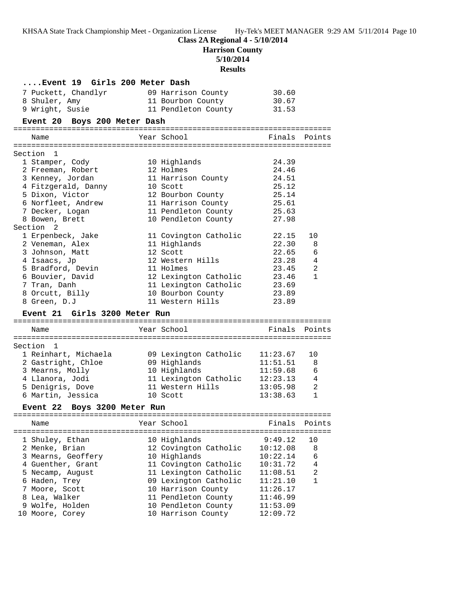# **Class 2A Regional 4 - 5/10/2014**

**Harrison County**

**5/10/2014**

# **Results**

| Event 19 Girls 200 Meter Dash      |                                           |                      |                |
|------------------------------------|-------------------------------------------|----------------------|----------------|
| 7 Puckett, Chandlyr                | 09 Harrison County                        | 30.60                |                |
| 8 Shuler, Amy                      | 11 Bourbon County                         | 30.67                |                |
| 9 Wright, Susie                    | 11 Pendleton County                       | 31.53                |                |
| Event 20 Boys 200 Meter Dash       |                                           |                      |                |
|                                    |                                           |                      |                |
| Name                               | Year School                               | Finals               | Points         |
| Section 1                          |                                           |                      |                |
| 1 Stamper, Cody                    | 10 Highlands                              | 24.39                |                |
| 2 Freeman, Robert                  | 12 Holmes                                 | 24.46                |                |
| 3 Kenney, Jordan                   | 11 Harrison County                        | 24.51                |                |
| 4 Fitzgerald, Danny                | 10 Scott                                  | 25.12                |                |
| 5 Dixon, Victor                    | 12 Bourbon County                         | 25.14                |                |
| 6 Norfleet, Andrew                 | 11 Harrison County                        | 25.61                |                |
| 7 Decker, Logan                    | 11 Pendleton County                       | 25.63                |                |
| 8 Bowen, Brett                     | 10 Pendleton County                       | 27.98                |                |
| Section 2                          |                                           |                      |                |
| 1 Erpenbeck, Jake                  | 11 Covington Catholic                     | 22.15                | 10             |
| 2 Veneman, Alex                    | 11 Highlands                              | 22.30                | 8              |
| 3 Johnson, Matt                    | 12 Scott                                  | 22.65                | 6              |
| 4 Isaacs, Jp                       | 12 Western Hills                          | 23.28                | 4              |
| 5 Bradford, Devin                  | 11 Holmes                                 | 23.45                | 2              |
| 6 Bouvier, David                   | 12 Lexington Catholic                     | 23.46                | $\mathbf{1}$   |
| 7 Tran, Danh                       | 11 Lexington Catholic                     | 23.69                |                |
| 8 Orcutt, Billy                    | 10 Bourbon County                         | 23.89                |                |
| 8 Green, D.J                       | 11 Western Hills                          | 23.89                |                |
| Event 21 Girls 3200 Meter Run      |                                           |                      |                |
| Name                               | Year School                               | Finals               | Points         |
|                                    |                                           |                      |                |
| Section 1                          |                                           |                      |                |
| 1 Reinhart, Michaela               | 09 Lexington Catholic                     | 11:23.67             | 10             |
| 2 Gastright, Chloe                 | 09 Highlands                              | 11:51.51             | 8              |
| 3 Mearns, Molly                    | 10 Highlands                              | 11:59.68             | 6              |
| 4 Llanora, Jodi                    | 11 Lexington Catholic                     | 12:23.13             | 4              |
| 5 Denigris, Dove                   | 11 Western Hills                          | 13:05.98             | 2              |
| 6 Martin, Jessica                  | 10 Scott                                  | 13:38.63             | $\mathbf{1}$   |
| Boys 3200 Meter Run<br>Event 22    |                                           |                      |                |
|                                    | Year School                               | Finals               | Points         |
| Name                               |                                           |                      |                |
|                                    |                                           |                      |                |
| 1 Shuley, Ethan                    | 10 Highlands                              | 9:49.12              | 10             |
| 2 Menke, Brian                     | 12 Covington Catholic                     | 10:12.08             | 8              |
| 3 Mearns, Geoffery                 | 10 Highlands                              | 10:22.14             | 6              |
| 4 Guenther, Grant                  | 11 Covington Catholic                     | 10:31.72             | 4              |
| 5 Necamp, August                   | 11 Lexington Catholic                     | 11:08.51             | $\overline{a}$ |
| 6 Haden, Trey                      | 09 Lexington Catholic                     | 11:21.10             | $\mathbf{1}$   |
| 7 Moore, Scott                     | 10 Harrison County                        | 11:26.17             |                |
| 8 Lea, Walker                      | 11 Pendleton County                       | 11:46.99             |                |
| 9 Wolfe, Holden<br>10 Moore, Corey | 10 Pendleton County<br>10 Harrison County | 11:53.09<br>12:09.72 |                |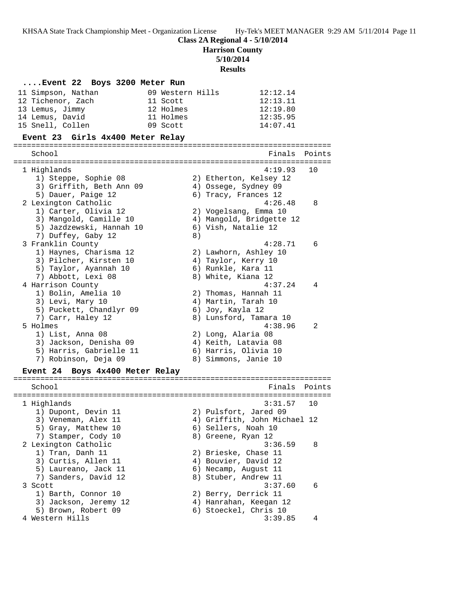**Class 2A Regional 4 - 5/10/2014**

**Harrison County**

**5/10/2014**

#### **Results**

# **....Event 22 Boys 3200 Meter Run** 11 Simpson, Nathan 09 Western Hills 12:12.14 12 Tichenor, Zach 11 Scott 12:13.11 13 Lemus, Jimmy 12 Holmes 12:19.80 14 Lemus, David 11 Holmes 12:35.95 15 Snell, Collen 09 Scott 14:07.41 **Event 23 Girls 4x400 Meter Relay**

======================================================================= School **Finals** Points ======================================================================= 1 Highlands 4:19.93 10 1) Steppe, Sophie 08 2) Etherton, Kelsey 12 3) Griffith, Beth Ann 09 (4) Ossege, Sydney 09 5) Dauer, Paige 12 (6) Tracy, Frances 12 2 Lexington Catholic 4:26.48 8 1) Carter, Olivia 12 2) Vogelsang, Emma 10 3) Mangold, Camille 10 4) Mangold, Bridgette 12 5) Jazdzewski, Hannah 10 6) Vish, Natalie 12 7) Duffey, Gaby 12 8) 3 Franklin County 4:28.71 6 1) Haynes, Charisma 12 2) Lawhorn, Ashley 10 3) Pilcher, Kirsten 10  $\hskip1cm$  4) Taylor, Kerry 10 5) Taylor, Ayannah 10 6) Runkle, Kara 11 7) Abbott, Lexi 08 8) White, Kiana 12 4 Harrison County 4:37.24 4 1) Bolin, Amelia 10 2) Thomas, Hannah 11 3) Levi, Mary 10 4) Martin, Tarah 10 5) Puckett, Chandlyr 09 6) Joy, Kayla 12 7) Carr, Haley 12 8) Lunsford, Tamara 10 5 Holmes 4:38.96 2 1) List, Anna 08 2) Long, Alaria 08 3) Jackson, Denisha 09 4) Keith, Latavia 08 5) Harris, Gabrielle 11 6) Harris, Olivia 10 7) Robinson, Deja 09 8) Simmons, Janie 10 **Event 24 Boys 4x400 Meter Relay** ======================================================================= School **Finals Points** ======================================================================= 1 Highlands 3:31.57 10 1) Dupont, Devin 11 2) Pulsfort, Jared 09 3) Veneman, Alex 11 4) Griffith, John Michael 12 5) Gray, Matthew 10 6) Sellers, Noah 10 7) Stamper, Cody 10 8) Greene, Ryan 12 2 Lexington Catholic 3:36.59 8 1) Tran, Danh 11 2) Brieske, Chase 11 3) Curtis, Allen 11 4) Bouvier, David 12

- 5) Laureano, Jack 11 (6) Necamp, August 11 7) Sanders, David 12 8) Stuber, Andrew 11
- 3 Scott 3:37.60 6
- 1) Barth, Connor 10 2) Berry, Derrick 11
- 3) Jackson, Jeremy 12 4) Hanrahan, Keegan 12
- 5) Brown, Robert 09 6) Stoeckel, Chris 10
- 4 Western Hills 3:39.85 4
-